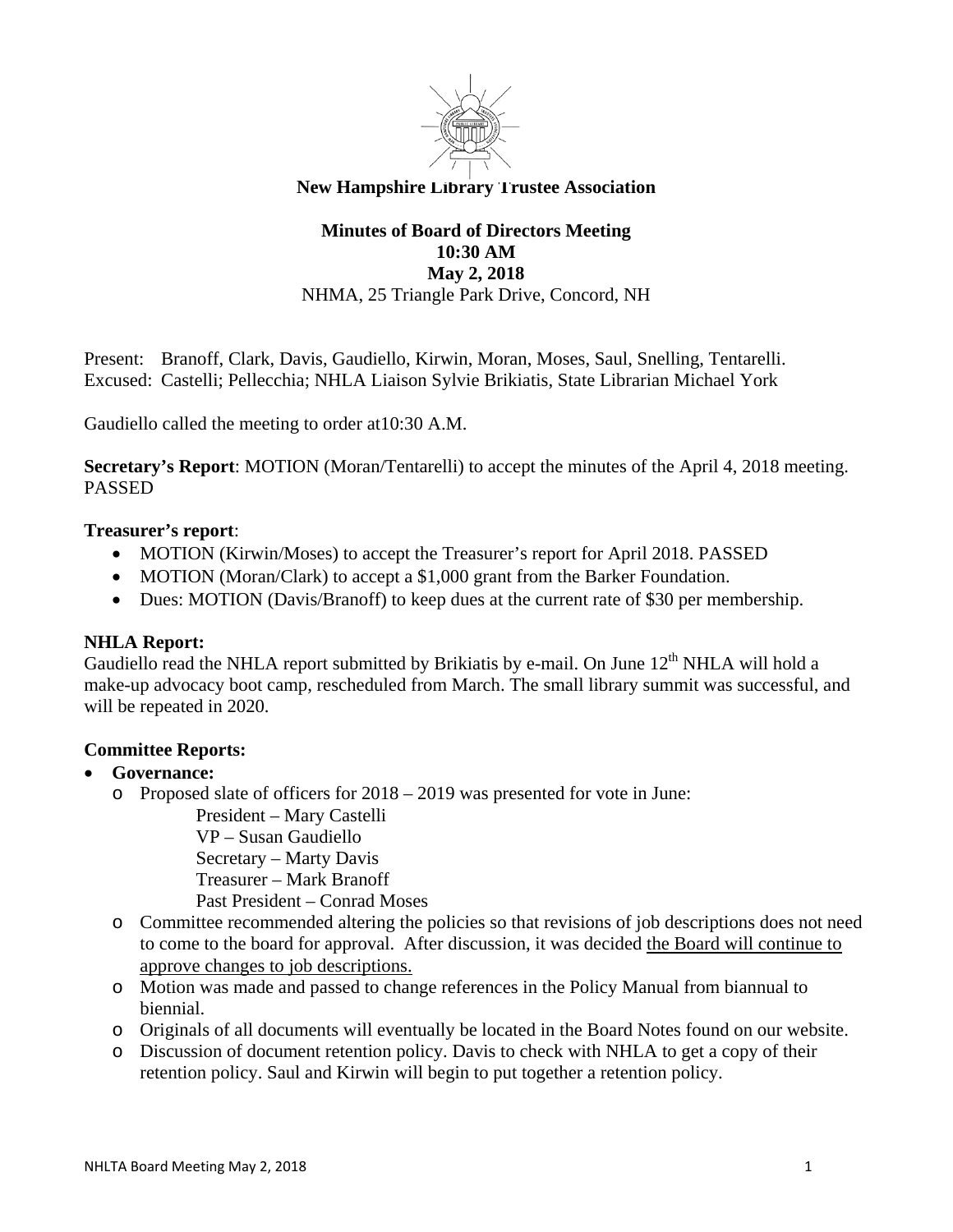

# **New Hampshire Library Trustee Association**

# **Minutes of Board of Directors Meeting 10:30 AM May 2, 2018**  NHMA, 25 Triangle Park Drive, Concord, NH

Present: Branoff, Clark, Davis, Gaudiello, Kirwin, Moran, Moses, Saul, Snelling, Tentarelli. Excused: Castelli; Pellecchia; NHLA Liaison Sylvie Brikiatis, State Librarian Michael York

Gaudiello called the meeting to order at10:30 A.M.

**Secretary's Report**: MOTION (Moran/Tentarelli) to accept the minutes of the April 4, 2018 meeting. PASSED

## **Treasurer's report**:

- MOTION (Kirwin/Moses) to accept the Treasurer's report for April 2018. PASSED
- MOTION (Moran/Clark) to accept a \$1,000 grant from the Barker Foundation.
- Dues: MOTION (Davis/Branoff) to keep dues at the current rate of \$30 per membership.

#### **NHLA Report:**

Gaudiello read the NHLA report submitted by Brikiatis by e-mail. On June  $12<sup>th</sup>$  NHLA will hold a make-up advocacy boot camp, rescheduled from March. The small library summit was successful, and will be repeated in 2020.

#### **Committee Reports:**

#### **Governance:**

o Proposed slate of officers for 2018 – 2019 was presented for vote in June:

President – Mary Castelli VP – Susan Gaudiello Secretary – Marty Davis

Treasurer – Mark Branoff

Past President – Conrad Moses

- o Committee recommended altering the policies so that revisions of job descriptions does not need to come to the board for approval. After discussion, it was decided the Board will continue to approve changes to job descriptions.
- o Motion was made and passed to change references in the Policy Manual from biannual to biennial.
- o Originals of all documents will eventually be located in the Board Notes found on our website.
- o Discussion of document retention policy. Davis to check with NHLA to get a copy of their retention policy. Saul and Kirwin will begin to put together a retention policy.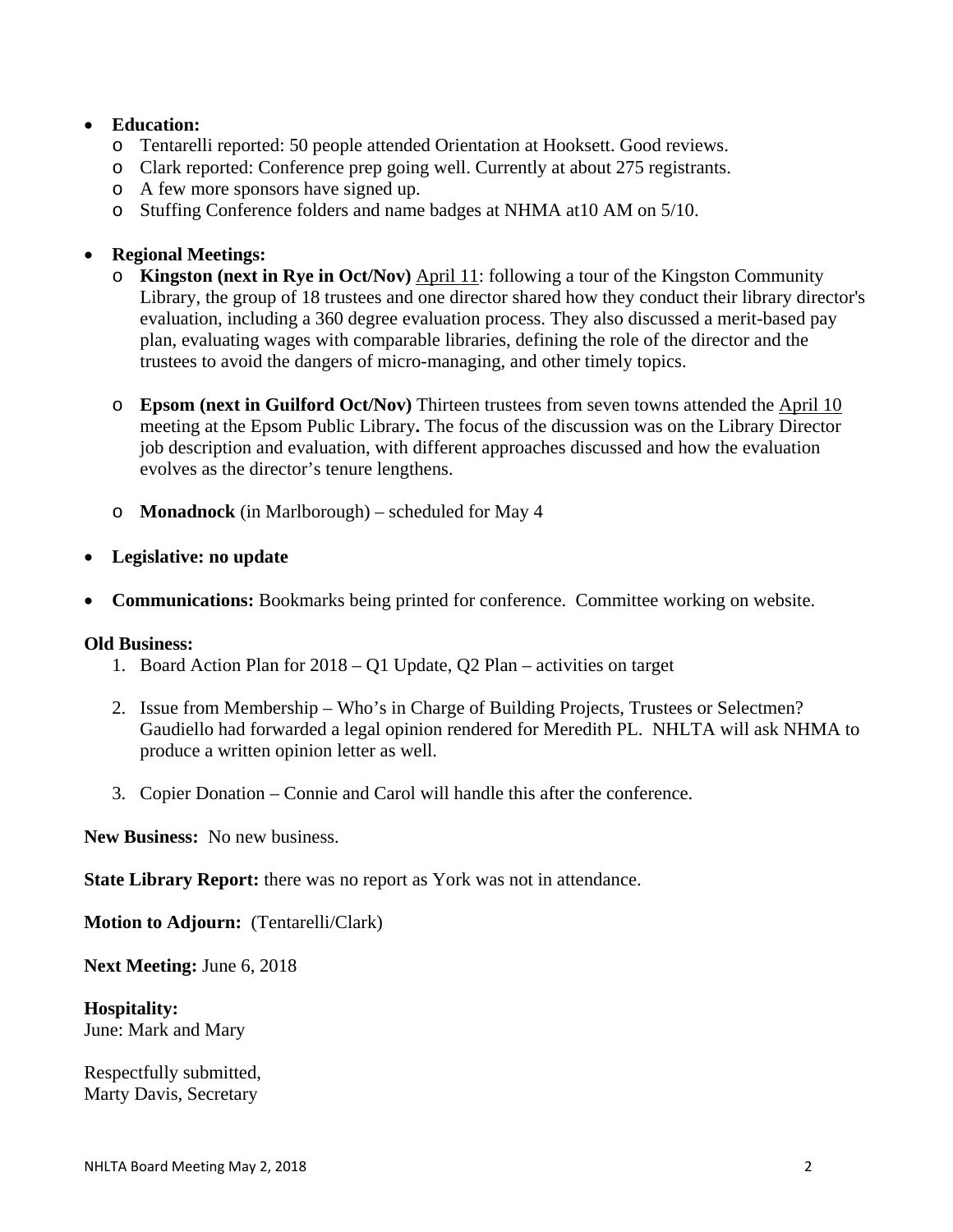## **Education:**

- o Tentarelli reported: 50 people attended Orientation at Hooksett. Good reviews.
- o Clark reported: Conference prep going well. Currently at about 275 registrants.
- o A few more sponsors have signed up.
- o Stuffing Conference folders and name badges at NHMA at10 AM on 5/10.

## **Regional Meetings:**

- o **Kingston (next in Rye in Oct/Nov)** April 11: following a tour of the Kingston Community Library, the group of 18 trustees and one director shared how they conduct their library director's evaluation, including a 360 degree evaluation process. They also discussed a merit-based pay plan, evaluating wages with comparable libraries, defining the role of the director and the trustees to avoid the dangers of micro-managing, and other timely topics.
- o **Epsom (next in Guilford Oct/Nov)** Thirteen trustees from seven towns attended the April 10 meeting at the Epsom Public Library**.** The focus of the discussion was on the Library Director job description and evaluation, with different approaches discussed and how the evaluation evolves as the director's tenure lengthens.
- o **Monadnock** (in Marlborough) scheduled for May 4
- **Legislative: no update**
- **Communications:** Bookmarks being printed for conference. Committee working on website.

#### **Old Business:**

- 1. Board Action Plan for 2018 Q1 Update, Q2 Plan activities on target
- 2. Issue from Membership Who's in Charge of Building Projects, Trustees or Selectmen? Gaudiello had forwarded a legal opinion rendered for Meredith PL. NHLTA will ask NHMA to produce a written opinion letter as well.
- 3. Copier Donation Connie and Carol will handle this after the conference.

**New Business:** No new business.

**State Library Report:** there was no report as York was not in attendance.

**Motion to Adjourn:** (Tentarelli/Clark)

**Next Meeting:** June 6, 2018

**Hospitality:**  June: Mark and Mary

Respectfully submitted, Marty Davis, Secretary